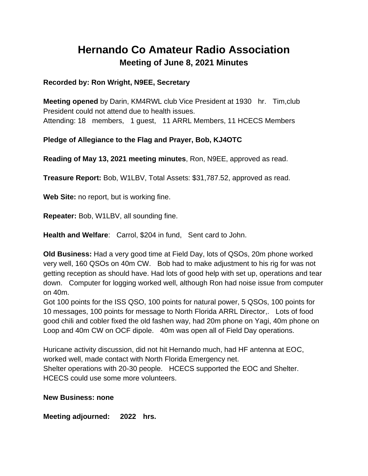## **Hernando Co Amateur Radio Association Meeting of June 8, 2021 Minutes**

## **Recorded by: Ron Wright, N9EE, Secretary**

**Meeting opened** by Darin, KM4RWL club Vice President at 1930 hr. Tim,club President could not attend due to health issues. Attending: 18 members, 1 guest, 11 ARRL Members, 11 HCECS Members

## **Pledge of Allegiance to the Flag and Prayer, Bob, KJ4OTC**

**Reading of May 13, 2021 meeting minutes**, Ron, N9EE, approved as read.

**Treasure Report:** Bob, W1LBV, Total Assets: \$31,787.52, approved as read.

**Web Site:** no report, but is working fine.

**Repeater:** Bob, W1LBV, all sounding fine.

**Health and Welfare**: Carrol, \$204 in fund, Sent card to John.

**Old Business:** Had a very good time at Field Day, lots of QSOs, 20m phone worked very well, 160 QSOs on 40m CW. Bob had to make adjustment to his rig for was not getting reception as should have. Had lots of good help with set up, operations and tear down. Computer for logging worked well, although Ron had noise issue from computer on 40m.

Got 100 points for the ISS QSO, 100 points for natural power, 5 QSOs, 100 points for 10 messages, 100 points for message to North Florida ARRL Director,. Lots of food good chili and cobler fixed the old fashen way, had 20m phone on Yagi, 40m phone on Loop and 40m CW on OCF dipole. 40m was open all of Field Day operations.

Huricane activity discussion, did not hit Hernando much, had HF antenna at EOC, worked well, made contact with North Florida Emergency net. Shelter operations with 20-30 people. HCECS supported the EOC and Shelter. HCECS could use some more volunteers.

## **New Business: none**

**Meeting adjourned: 2022 hrs.**